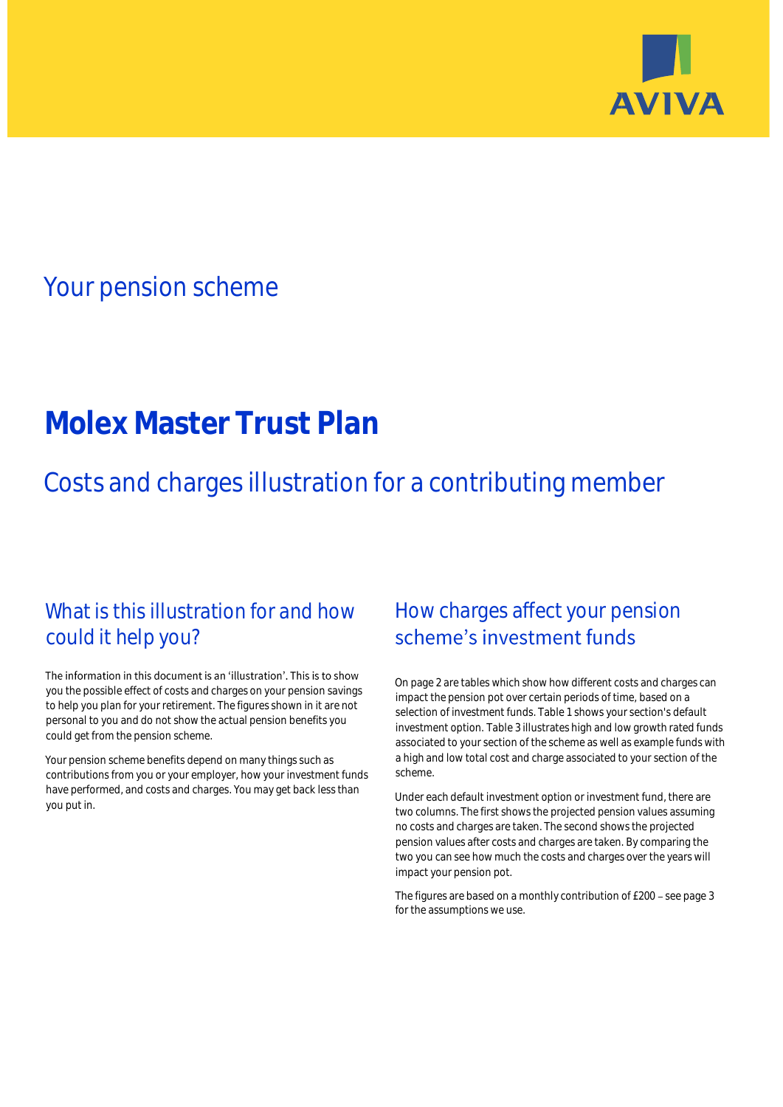

## Your pension scheme

# **Molex Master Trust Plan**

Costs and charges illustration for a contributing member

### What is this illustration for and how could it help you?

#### The information in this document is an 'illustration'. This is to show you the possible effect of costs and charges on your pension savings to help you plan for your retirement. The figures shown in it are not personal to you and do not show the actual pension benefits you could get from the pension scheme.

Your pension scheme benefits depend on many things such as contributions from you or your employer, how your investment funds have performed, and costs and charges. You may get back less than you put in.

### How charges affect your pension scheme's investment funds

On page 2 are tables which show how different costs and charges can impact the pension pot over certain periods of time, based on a selection of investment funds. Table 1 shows your section's default investment option. Table 3 illustrates high and low growth rated funds associated to your section of the scheme as well as example funds with a high and low total cost and charge associated to your section of the scheme.

Under each default investment option or investment fund, there are two columns. The first shows the projected pension values assuming no costs and charges are taken. The second shows the projected pension values after costs and charges are taken. By comparing the two you can see how much the costs and charges over the years will impact your pension pot.

The figures are based on a monthly contribution of £200 - see page 3 for the assumptions we use.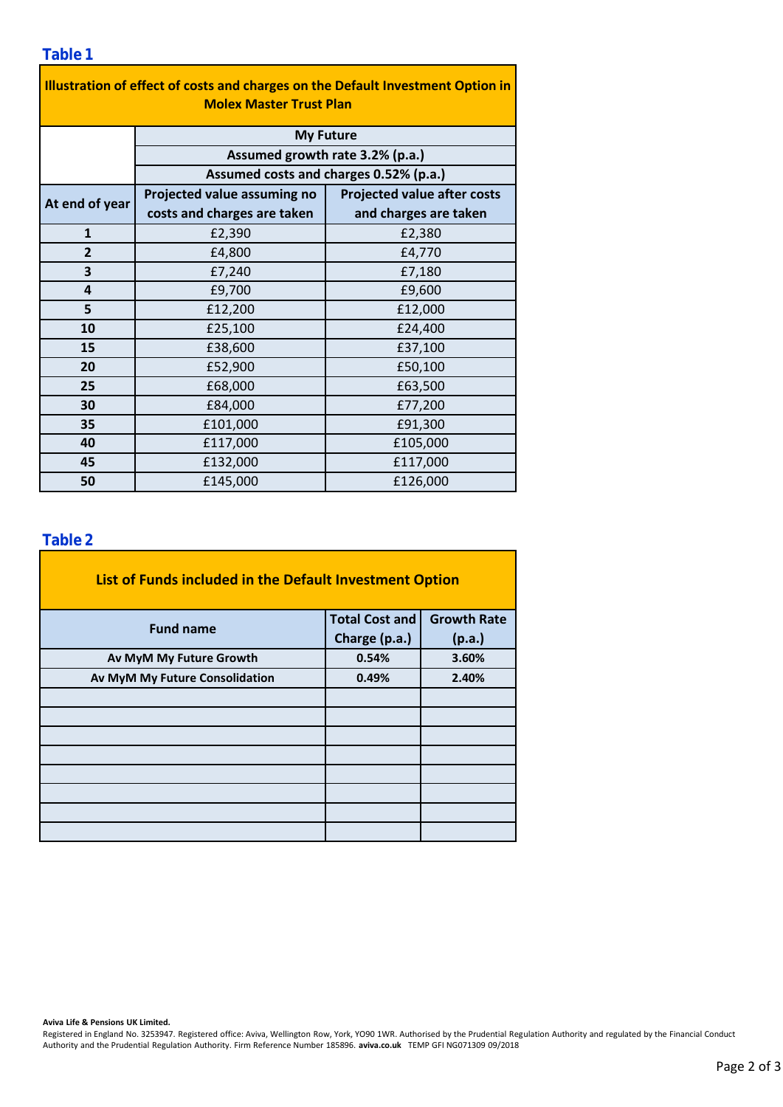### **Table 1**

| Illustration of effect of costs and charges on the Default Investment Option in<br><b>Molex Master Trust Plan</b> |                                        |                                    |  |  |  |  |  |  |
|-------------------------------------------------------------------------------------------------------------------|----------------------------------------|------------------------------------|--|--|--|--|--|--|
|                                                                                                                   | <b>My Future</b>                       |                                    |  |  |  |  |  |  |
|                                                                                                                   | Assumed growth rate 3.2% (p.a.)        |                                    |  |  |  |  |  |  |
|                                                                                                                   | Assumed costs and charges 0.52% (p.a.) |                                    |  |  |  |  |  |  |
| At end of year                                                                                                    | Projected value assuming no            | <b>Projected value after costs</b> |  |  |  |  |  |  |
|                                                                                                                   | costs and charges are taken            | and charges are taken              |  |  |  |  |  |  |
| $\mathbf{1}$                                                                                                      | £2,390                                 | £2,380                             |  |  |  |  |  |  |
| $\overline{2}$                                                                                                    | £4,800                                 | £4,770                             |  |  |  |  |  |  |
| 3                                                                                                                 | £7,240                                 | £7,180                             |  |  |  |  |  |  |
| 4                                                                                                                 | £9,700                                 | £9,600                             |  |  |  |  |  |  |
| 5                                                                                                                 | £12,200                                | £12,000                            |  |  |  |  |  |  |
| 10                                                                                                                | £25,100                                | £24,400                            |  |  |  |  |  |  |
| 15                                                                                                                | £38,600                                | £37,100                            |  |  |  |  |  |  |
| 20                                                                                                                | £52,900                                | £50,100                            |  |  |  |  |  |  |
| 25                                                                                                                | £68,000                                | £63,500                            |  |  |  |  |  |  |
| 30                                                                                                                | £84,000                                | £77,200                            |  |  |  |  |  |  |
| 35                                                                                                                | £101,000                               | £91,300                            |  |  |  |  |  |  |
| 40                                                                                                                | £117,000                               | £105,000                           |  |  |  |  |  |  |
| 45                                                                                                                | £132,000                               | £117,000                           |  |  |  |  |  |  |
| 50                                                                                                                | £145,000                               | £126,000                           |  |  |  |  |  |  |

#### **Table 2**

| List of Funds included in the Default Investment Option |                       |                    |
|---------------------------------------------------------|-----------------------|--------------------|
| <b>Fund name</b>                                        | <b>Total Cost and</b> | <b>Growth Rate</b> |
|                                                         | Charge (p.a.)         | (p.a.)             |
| Av MyM My Future Growth                                 | 0.54%                 | 3.60%              |
| Av MyM My Future Consolidation                          | 0.49%                 | 2.40%              |
|                                                         |                       |                    |
|                                                         |                       |                    |
|                                                         |                       |                    |
|                                                         |                       |                    |
|                                                         |                       |                    |
|                                                         |                       |                    |
|                                                         |                       |                    |
|                                                         |                       |                    |

#### **Aviva Life & Pensions UK Limited.**

Registered in England No. 3253947. Registered office: Aviva, Wellington Row, York, YO90 1WR. Authorised by the Prudential Regulation Authority and regulated by the Financial Conduct Authority and the Prudential Regulation Authority. Firm Reference Number 185896. **aviva.co.uk** TEMP GFI NG071309 09/2018